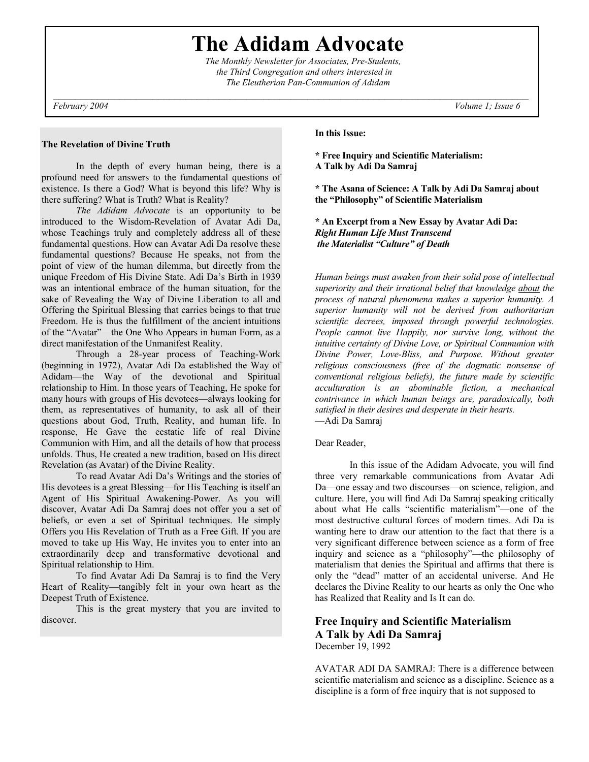**The Adidam Advocate** 

 *The Monthly Newsletter for Associates, Pre-Students, the Third Congregation and others interested in The Eleutherian Pan-Communion of Adidam*

### **The Revelation of Divine Truth**

 In the depth of every human being, there is a profound need for answers to the fundamental questions of existence. Is there a God? What is beyond this life? Why is there suffering? What is Truth? What is Reality?

*The Adidam Advocate* is an opportunity to be introduced to the Wisdom-Revelation of Avatar Adi Da, whose Teachings truly and completely address all of these fundamental questions. How can Avatar Adi Da resolve these fundamental questions? Because He speaks, not from the point of view of the human dilemma, but directly from the unique Freedom of His Divine State. Adi Da's Birth in 1939 was an intentional embrace of the human situation, for the sake of Revealing the Way of Divine Liberation to all and Offering the Spiritual Blessing that carries beings to that true Freedom. He is thus the fulfillment of the ancient intuitions of the "Avatar"—the One Who Appears in human Form, as a direct manifestation of the Unmanifest Reality.

 Through a 28-year process of Teaching-Work (beginning in 1972), Avatar Adi Da established the Way of Adidam—the Way of the devotional and Spiritual relationship to Him. In those years of Teaching, He spoke for many hours with groups of His devotees—always looking for them, as representatives of humanity, to ask all of their questions about God, Truth, Reality, and human life. In response, He Gave the ecstatic life of real Divine Communion with Him, and all the details of how that process unfolds. Thus, He created a new tradition, based on His direct Revelation (as Avatar) of the Divine Reality.

 To read Avatar Adi Da's Writings and the stories of His devotees is a great Blessing—for His Teaching is itself an Agent of His Spiritual Awakening-Power. As you will discover, Avatar Adi Da Samraj does not offer you a set of beliefs, or even a set of Spiritual techniques. He simply Offers you His Revelation of Truth as a Free Gift. If you are moved to take up His Way, He invites you to enter into an extraordinarily deep and transformative devotional and Spiritual relationship to Him.

 To find Avatar Adi Da Samraj is to find the Very Heart of Reality—tangibly felt in your own heart as the Deepest Truth of Existence.

 This is the great mystery that you are invited to discover.

**In this Issue:** 

**\* Free Inquiry and Scientific Materialism: A Talk by Adi Da Samraj** 

**\* The Asana of Science: A Talk by Adi Da Samraj about the "Philosophy" of Scientific Materialism** 

**\* An Excerpt from a New Essay by Avatar Adi Da:**  *Right Human Life Must Transcend the Materialist "Culture" of Death*

*Human beings must awaken from their solid pose of intellectual superiority and their irrational belief that knowledge about the process of natural phenomena makes a superior humanity. A superior humanity will not be derived from authoritarian scientific decrees, imposed through powerful technologies. People cannot live Happily, nor survive long, without the intuitive certainty of Divine Love, or Spiritual Communion with Divine Power, Love-Bliss, and Purpose. Without greater religious consciousness (free of the dogmatic nonsense of conventional religious beliefs), the future made by scientific acculturation is an abominable fiction, a mechanical contrivance in which human beings are, paradoxically, both satisfied in their desires and desperate in their hearts.*  —Adi Da Samraj

Dear Reader,

 In this issue of the Adidam Advocate, you will find three very remarkable communications from Avatar Adi Da—one essay and two discourses—on science, religion, and culture. Here, you will find Adi Da Samraj speaking critically about what He calls "scientific materialism"—one of the most destructive cultural forces of modern times. Adi Da is wanting here to draw our attention to the fact that there is a very significant difference between science as a form of free inquiry and science as a "philosophy"—the philosophy of materialism that denies the Spiritual and affirms that there is only the "dead" matter of an accidental universe. And He declares the Divine Reality to our hearts as only the One who has Realized that Reality and Is It can do.

# **Free Inquiry and Scientific Materialism A Talk by Adi Da Samraj**  December 19, 1992

AVATAR ADI DA SAMRAJ: There is a difference between scientific materialism and science as a discipline. Science as a discipline is a form of free inquiry that is not supposed to

*February 2004 Volume 1; Issue 6*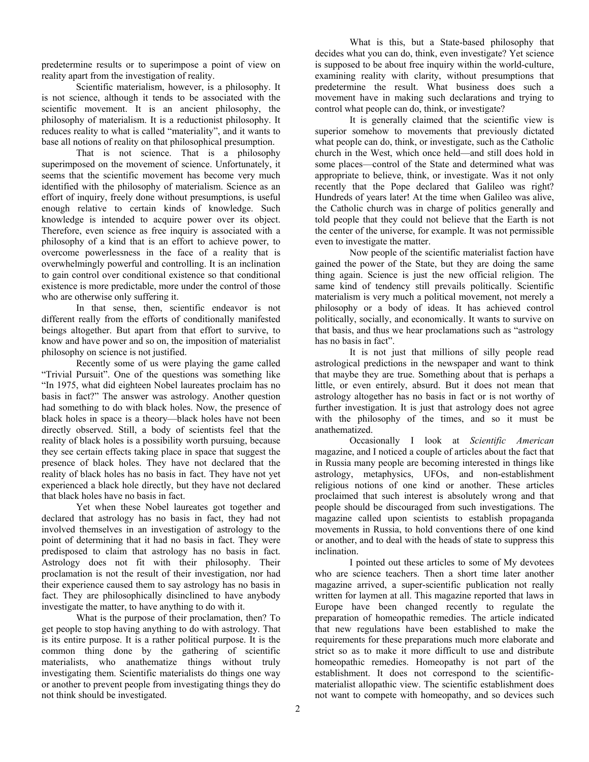predetermine results or to superimpose a point of view on reality apart from the investigation of reality.

 Scientific materialism, however, is a philosophy. It is not science, although it tends to be associated with the scientific movement. It is an ancient philosophy, the philosophy of materialism. It is a reductionist philosophy. It reduces reality to what is called "materiality", and it wants to base all notions of reality on that philosophical presumption.

 That is not science. That is a philosophy superimposed on the movement of science. Unfortunately, it seems that the scientific movement has become very much identified with the philosophy of materialism. Science as an effort of inquiry, freely done without presumptions, is useful enough relative to certain kinds of knowledge. Such knowledge is intended to acquire power over its object. Therefore, even science as free inquiry is associated with a philosophy of a kind that is an effort to achieve power, to overcome powerlessness in the face of a reality that is overwhelmingly powerful and controlling. It is an inclination to gain control over conditional existence so that conditional existence is more predictable, more under the control of those who are otherwise only suffering it.

 In that sense, then, scientific endeavor is not different really from the efforts of conditionally manifested beings altogether. But apart from that effort to survive, to know and have power and so on, the imposition of materialist philosophy on science is not justified.

 Recently some of us were playing the game called "Trivial Pursuit". One of the questions was something like "In 1975, what did eighteen Nobel laureates proclaim has no basis in fact?" The answer was astrology. Another question had something to do with black holes. Now, the presence of black holes in space is a theory—black holes have not been directly observed. Still, a body of scientists feel that the reality of black holes is a possibility worth pursuing, because they see certain effects taking place in space that suggest the presence of black holes. They have not declared that the reality of black holes has no basis in fact. They have not yet experienced a black hole directly, but they have not declared that black holes have no basis in fact.

 Yet when these Nobel laureates got together and declared that astrology has no basis in fact, they had not involved themselves in an investigation of astrology to the point of determining that it had no basis in fact. They were predisposed to claim that astrology has no basis in fact. Astrology does not fit with their philosophy. Their proclamation is not the result of their investigation, nor had their experience caused them to say astrology has no basis in fact. They are philosophically disinclined to have anybody investigate the matter, to have anything to do with it.

 What is the purpose of their proclamation, then? To get people to stop having anything to do with astrology. That is its entire purpose. It is a rather political purpose. It is the common thing done by the gathering of scientific materialists, who anathematize things without truly investigating them. Scientific materialists do things one way or another to prevent people from investigating things they do not think should be investigated.

 What is this, but a State-based philosophy that decides what you can do, think, even investigate? Yet science is supposed to be about free inquiry within the world-culture, examining reality with clarity, without presumptions that predetermine the result. What business does such a movement have in making such declarations and trying to control what people can do, think, or investigate?

 It is generally claimed that the scientific view is superior somehow to movements that previously dictated what people can do, think, or investigate, such as the Catholic church in the West, which once held—and still does hold in some places—control of the State and determined what was appropriate to believe, think, or investigate. Was it not only recently that the Pope declared that Galileo was right? Hundreds of years later! At the time when Galileo was alive, the Catholic church was in charge of politics generally and told people that they could not believe that the Earth is not the center of the universe, for example. It was not permissible even to investigate the matter.

 Now people of the scientific materialist faction have gained the power of the State, but they are doing the same thing again. Science is just the new official religion. The same kind of tendency still prevails politically. Scientific materialism is very much a political movement, not merely a philosophy or a body of ideas. It has achieved control politically, socially, and economically. It wants to survive on that basis, and thus we hear proclamations such as "astrology has no basis in fact".

 It is not just that millions of silly people read astrological predictions in the newspaper and want to think that maybe they are true. Something about that is perhaps a little, or even entirely, absurd. But it does not mean that astrology altogether has no basis in fact or is not worthy of further investigation. It is just that astrology does not agree with the philosophy of the times, and so it must be anathematized.

 Occasionally I look at *Scientific American* magazine, and I noticed a couple of articles about the fact that in Russia many people are becoming interested in things like astrology, metaphysics, UFOs, and non-establishment religious notions of one kind or another. These articles proclaimed that such interest is absolutely wrong and that people should be discouraged from such investigations. The magazine called upon scientists to establish propaganda movements in Russia, to hold conventions there of one kind or another, and to deal with the heads of state to suppress this inclination.

 I pointed out these articles to some of My devotees who are science teachers. Then a short time later another magazine arrived, a super-scientific publication not really written for laymen at all. This magazine reported that laws in Europe have been changed recently to regulate the preparation of homeopathic remedies. The article indicated that new regulations have been established to make the requirements for these preparations much more elaborate and strict so as to make it more difficult to use and distribute homeopathic remedies. Homeopathy is not part of the establishment. It does not correspond to the scientificmaterialist allopathic view. The scientific establishment does not want to compete with homeopathy, and so devices such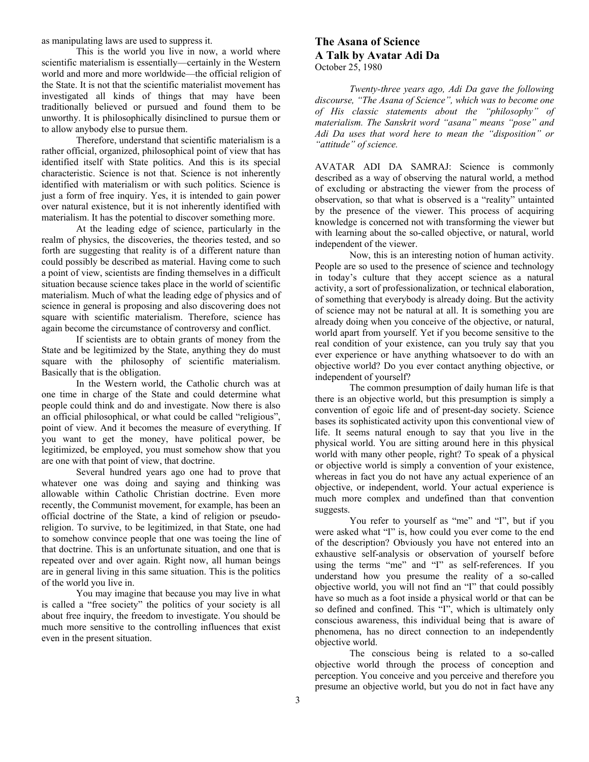as manipulating laws are used to suppress it.

 This is the world you live in now, a world where scientific materialism is essentially—certainly in the Western world and more and more worldwide—the official religion of the State. It is not that the scientific materialist movement has investigated all kinds of things that may have been traditionally believed or pursued and found them to be unworthy. It is philosophically disinclined to pursue them or to allow anybody else to pursue them.

 Therefore, understand that scientific materialism is a rather official, organized, philosophical point of view that has identified itself with State politics. And this is its special characteristic. Science is not that. Science is not inherently identified with materialism or with such politics. Science is just a form of free inquiry. Yes, it is intended to gain power over natural existence, but it is not inherently identified with materialism. It has the potential to discover something more.

 At the leading edge of science, particularly in the realm of physics, the discoveries, the theories tested, and so forth are suggesting that reality is of a different nature than could possibly be described as material. Having come to such a point of view, scientists are finding themselves in a difficult situation because science takes place in the world of scientific materialism. Much of what the leading edge of physics and of science in general is proposing and also discovering does not square with scientific materialism. Therefore, science has again become the circumstance of controversy and conflict.

 If scientists are to obtain grants of money from the State and be legitimized by the State, anything they do must square with the philosophy of scientific materialism. Basically that is the obligation.

 In the Western world, the Catholic church was at one time in charge of the State and could determine what people could think and do and investigate. Now there is also an official philosophical, or what could be called "religious", point of view. And it becomes the measure of everything. If you want to get the money, have political power, be legitimized, be employed, you must somehow show that you are one with that point of view, that doctrine.

 Several hundred years ago one had to prove that whatever one was doing and saying and thinking was allowable within Catholic Christian doctrine. Even more recently, the Communist movement, for example, has been an official doctrine of the State, a kind of religion or pseudoreligion. To survive, to be legitimized, in that State, one had to somehow convince people that one was toeing the line of that doctrine. This is an unfortunate situation, and one that is repeated over and over again. Right now, all human beings are in general living in this same situation. This is the politics of the world you live in.

 You may imagine that because you may live in what is called a "free society" the politics of your society is all about free inquiry, the freedom to investigate. You should be much more sensitive to the controlling influences that exist even in the present situation.

# **The Asana of Science A Talk by Avatar Adi Da**  October 25, 1980

 *Twenty-three years ago, Adi Da gave the following discourse, "The Asana of Science", which was to become one of His classic statements about the "philosophy" of materialism. The Sanskrit word "asana" means "pose" and Adi Da uses that word here to mean the "disposition" or "attitude" of science.* 

AVATAR ADI DA SAMRAJ: Science is commonly described as a way of observing the natural world, a method of excluding or abstracting the viewer from the process of observation, so that what is observed is a "reality" untainted by the presence of the viewer. This process of acquiring knowledge is concerned not with transforming the viewer but with learning about the so-called objective, or natural, world independent of the viewer.

 Now, this is an interesting notion of human activity. People are so used to the presence of science and technology in today's culture that they accept science as a natural activity, a sort of professionalization, or technical elaboration, of something that everybody is already doing. But the activity of science may not be natural at all. It is something you are already doing when you conceive of the objective, or natural, world apart from yourself. Yet if you become sensitive to the real condition of your existence, can you truly say that you ever experience or have anything whatsoever to do with an objective world? Do you ever contact anything objective, or independent of yourself?

 The common presumption of daily human life is that there is an objective world, but this presumption is simply a convention of egoic life and of present-day society. Science bases its sophisticated activity upon this conventional view of life. It seems natural enough to say that you live in the physical world. You are sitting around here in this physical world with many other people, right? To speak of a physical or objective world is simply a convention of your existence, whereas in fact you do not have any actual experience of an objective, or independent, world. Your actual experience is much more complex and undefined than that convention suggests.

You refer to yourself as "me" and "I", but if you were asked what "I" is, how could you ever come to the end of the description? Obviously you have not entered into an exhaustive self-analysis or observation of yourself before using the terms "me" and "I" as self-references. If you understand how you presume the reality of a so-called objective world, you will not find an "I" that could possibly have so much as a foot inside a physical world or that can be so defined and confined. This "I", which is ultimately only conscious awareness, this individual being that is aware of phenomena, has no direct connection to an independently objective world.

 The conscious being is related to a so-called objective world through the process of conception and perception. You conceive and you perceive and therefore you presume an objective world, but you do not in fact have any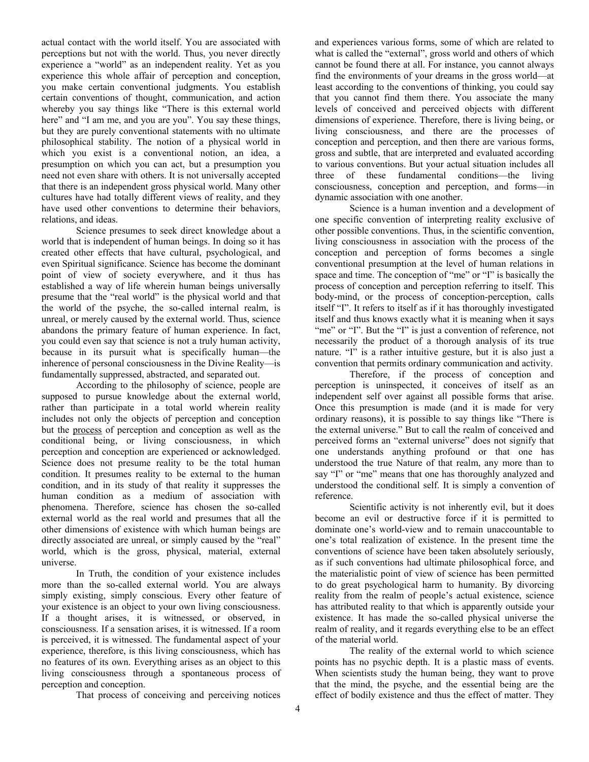actual contact with the world itself. You are associated with perceptions but not with the world. Thus, you never directly experience a "world" as an independent reality. Yet as you experience this whole affair of perception and conception, you make certain conventional judgments. You establish certain conventions of thought, communication, and action whereby you say things like "There is this external world here" and "I am me, and you are you". You say these things, but they are purely conventional statements with no ultimate philosophical stability. The notion of a physical world in which you exist is a conventional notion, an idea, a presumption on which you can act, but a presumption you need not even share with others. It is not universally accepted that there is an independent gross physical world. Many other cultures have had totally different views of reality, and they have used other conventions to determine their behaviors. relations, and ideas.

 Science presumes to seek direct knowledge about a world that is independent of human beings. In doing so it has created other effects that have cultural, psychological, and even Spiritual significance. Science has become the dominant point of view of society everywhere, and it thus has established a way of life wherein human beings universally presume that the "real world" is the physical world and that the world of the psyche, the so-called internal realm, is unreal, or merely caused by the external world. Thus, science abandons the primary feature of human experience. In fact, you could even say that science is not a truly human activity, because in its pursuit what is specifically human—the inherence of personal consciousness in the Divine Reality—is fundamentally suppressed, abstracted, and separated out.

 According to the philosophy of science, people are supposed to pursue knowledge about the external world, rather than participate in a total world wherein reality includes not only the objects of perception and conception but the process of perception and conception as well as the conditional being, or living consciousness, in which perception and conception are experienced or acknowledged. Science does not presume reality to be the total human condition. It presumes reality to be external to the human condition, and in its study of that reality it suppresses the human condition as a medium of association with phenomena. Therefore, science has chosen the so-called external world as the real world and presumes that all the other dimensions of existence with which human beings are directly associated are unreal, or simply caused by the "real" world, which is the gross, physical, material, external universe.

 In Truth, the condition of your existence includes more than the so-called external world. You are always simply existing, simply conscious. Every other feature of your existence is an object to your own living consciousness. If a thought arises, it is witnessed, or observed, in consciousness. If a sensation arises, it is witnessed. If a room is perceived, it is witnessed. The fundamental aspect of your experience, therefore, is this living consciousness, which has no features of its own. Everything arises as an object to this living consciousness through a spontaneous process of perception and conception.

That process of conceiving and perceiving notices

and experiences various forms, some of which are related to what is called the "external", gross world and others of which cannot be found there at all. For instance, you cannot always find the environments of your dreams in the gross world—at least according to the conventions of thinking, you could say that you cannot find them there. You associate the many levels of conceived and perceived objects with different dimensions of experience. Therefore, there is living being, or living consciousness, and there are the processes of conception and perception, and then there are various forms, gross and subtle, that are interpreted and evaluated according to various conventions. But your actual situation includes all three of these fundamental conditions—the living consciousness, conception and perception, and forms—in dynamic association with one another.

 Science is a human invention and a development of one specific convention of interpreting reality exclusive of other possible conventions. Thus, in the scientific convention, living consciousness in association with the process of the conception and perception of forms becomes a single conventional presumption at the level of human relations in space and time. The conception of "me" or "I" is basically the process of conception and perception referring to itself. This body-mind, or the process of conception-perception, calls itself "I". It refers to itself as if it has thoroughly investigated itself and thus knows exactly what it is meaning when it says "me" or "I". But the "I" is just a convention of reference, not necessarily the product of a thorough analysis of its true nature. "I" is a rather intuitive gesture, but it is also just a convention that permits ordinary communication and activity.

 Therefore, if the process of conception and perception is uninspected, it conceives of itself as an independent self over against all possible forms that arise. Once this presumption is made (and it is made for very ordinary reasons), it is possible to say things like "There is the external universe." But to call the realm of conceived and perceived forms an "external universe" does not signify that one understands anything profound or that one has understood the true Nature of that realm, any more than to say "I" or "me" means that one has thoroughly analyzed and understood the conditional self. It is simply a convention of reference.

 Scientific activity is not inherently evil, but it does become an evil or destructive force if it is permitted to dominate one's world-view and to remain unaccountable to one's total realization of existence. In the present time the conventions of science have been taken absolutely seriously, as if such conventions had ultimate philosophical force, and the materialistic point of view of science has been permitted to do great psychological harm to humanity. By divorcing reality from the realm of people's actual existence, science has attributed reality to that which is apparently outside your existence. It has made the so-called physical universe the realm of reality, and it regards everything else to be an effect of the material world.

 The reality of the external world to which science points has no psychic depth. It is a plastic mass of events. When scientists study the human being, they want to prove that the mind, the psyche, and the essential being are the effect of bodily existence and thus the effect of matter. They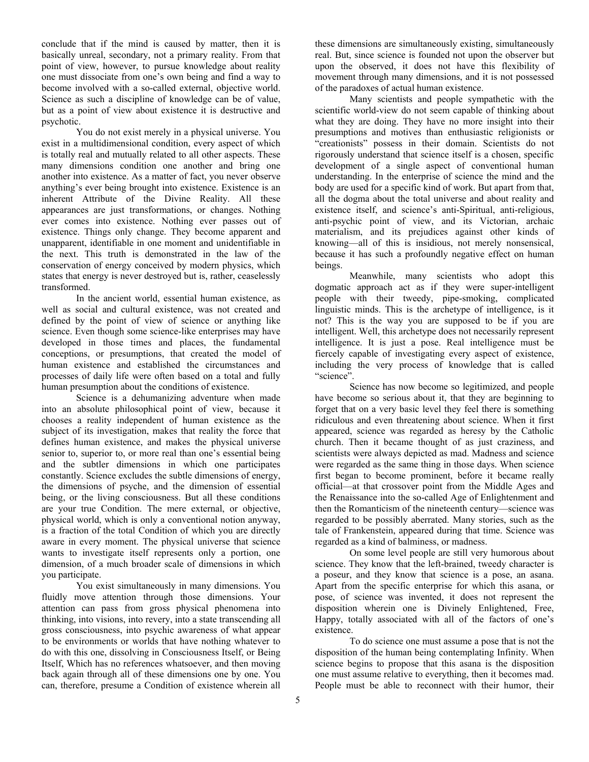conclude that if the mind is caused by matter, then it is basically unreal, secondary, not a primary reality. From that point of view, however, to pursue knowledge about reality one must dissociate from one's own being and find a way to become involved with a so-called external, objective world. Science as such a discipline of knowledge can be of value, but as a point of view about existence it is destructive and psychotic.

 You do not exist merely in a physical universe. You exist in a multidimensional condition, every aspect of which is totally real and mutually related to all other aspects. These many dimensions condition one another and bring one another into existence. As a matter of fact, you never observe anything's ever being brought into existence. Existence is an inherent Attribute of the Divine Reality. All these appearances are just transformations, or changes. Nothing ever comes into existence. Nothing ever passes out of existence. Things only change. They become apparent and unapparent, identifiable in one moment and unidentifiable in the next. This truth is demonstrated in the law of the conservation of energy conceived by modern physics, which states that energy is never destroyed but is, rather, ceaselessly transformed.

 In the ancient world, essential human existence, as well as social and cultural existence, was not created and defined by the point of view of science or anything like science. Even though some science-like enterprises may have developed in those times and places, the fundamental conceptions, or presumptions, that created the model of human existence and established the circumstances and processes of daily life were often based on a total and fully human presumption about the conditions of existence.

 Science is a dehumanizing adventure when made into an absolute philosophical point of view, because it chooses a reality independent of human existence as the subject of its investigation, makes that reality the force that defines human existence, and makes the physical universe senior to, superior to, or more real than one's essential being and the subtler dimensions in which one participates constantly. Science excludes the subtle dimensions of energy, the dimensions of psyche, and the dimension of essential being, or the living consciousness. But all these conditions are your true Condition. The mere external, or objective, physical world, which is only a conventional notion anyway, is a fraction of the total Condition of which you are directly aware in every moment. The physical universe that science wants to investigate itself represents only a portion, one dimension, of a much broader scale of dimensions in which you participate.

 You exist simultaneously in many dimensions. You fluidly move attention through those dimensions. Your attention can pass from gross physical phenomena into thinking, into visions, into revery, into a state transcending all gross consciousness, into psychic awareness of what appear to be environments or worlds that have nothing whatever to do with this one, dissolving in Consciousness Itself, or Being Itself, Which has no references whatsoever, and then moving back again through all of these dimensions one by one. You can, therefore, presume a Condition of existence wherein all

these dimensions are simultaneously existing, simultaneously real. But, since science is founded not upon the observer but upon the observed, it does not have this flexibility of movement through many dimensions, and it is not possessed of the paradoxes of actual human existence.

 Many scientists and people sympathetic with the scientific world-view do not seem capable of thinking about what they are doing. They have no more insight into their presumptions and motives than enthusiastic religionists or "creationists" possess in their domain. Scientists do not rigorously understand that science itself is a chosen, specific development of a single aspect of conventional human understanding. In the enterprise of science the mind and the body are used for a specific kind of work. But apart from that, all the dogma about the total universe and about reality and existence itself, and science's anti-Spiritual, anti-religious, anti-psychic point of view, and its Victorian, archaic materialism, and its prejudices against other kinds of knowing—all of this is insidious, not merely nonsensical, because it has such a profoundly negative effect on human beings.

 Meanwhile, many scientists who adopt this dogmatic approach act as if they were super-intelligent people with their tweedy, pipe-smoking, complicated linguistic minds. This is the archetype of intelligence, is it not? This is the way you are supposed to be if you are intelligent. Well, this archetype does not necessarily represent intelligence. It is just a pose. Real intelligence must be fiercely capable of investigating every aspect of existence, including the very process of knowledge that is called "science".

 Science has now become so legitimized, and people have become so serious about it, that they are beginning to forget that on a very basic level they feel there is something ridiculous and even threatening about science. When it first appeared, science was regarded as heresy by the Catholic church. Then it became thought of as just craziness, and scientists were always depicted as mad. Madness and science were regarded as the same thing in those days. When science first began to become prominent, before it became really official—at that crossover point from the Middle Ages and the Renaissance into the so-called Age of Enlightenment and then the Romanticism of the nineteenth century—science was regarded to be possibly aberrated. Many stories, such as the tale of Frankenstein, appeared during that time. Science was regarded as a kind of balminess, or madness.

 On some level people are still very humorous about science. They know that the left-brained, tweedy character is a poseur, and they know that science is a pose, an asana. Apart from the specific enterprise for which this asana, or pose, of science was invented, it does not represent the disposition wherein one is Divinely Enlightened, Free, Happy, totally associated with all of the factors of one's existence.

 To do science one must assume a pose that is not the disposition of the human being contemplating Infinity. When science begins to propose that this asana is the disposition one must assume relative to everything, then it becomes mad. People must be able to reconnect with their humor, their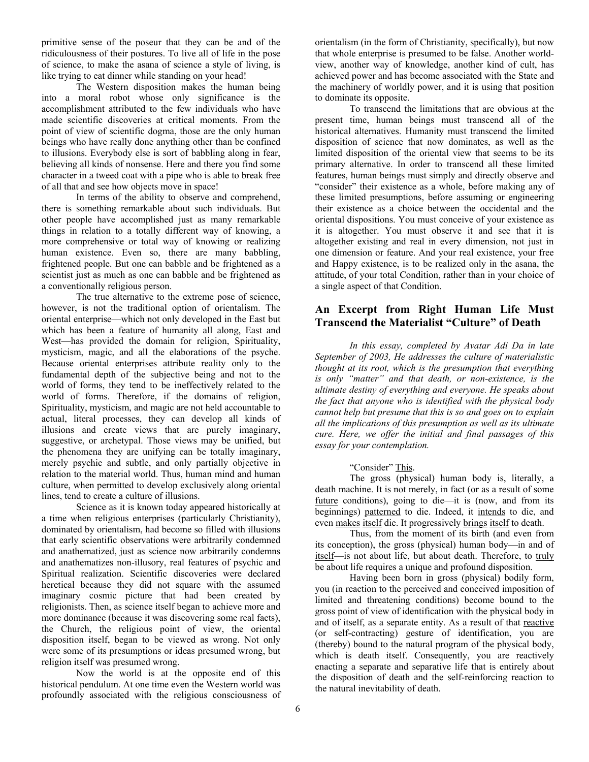primitive sense of the poseur that they can be and of the ridiculousness of their postures. To live all of life in the pose of science, to make the asana of science a style of living, is like trying to eat dinner while standing on your head!

 The Western disposition makes the human being into a moral robot whose only significance is the accomplishment attributed to the few individuals who have made scientific discoveries at critical moments. From the point of view of scientific dogma, those are the only human beings who have really done anything other than be confined to illusions. Everybody else is sort of babbling along in fear, believing all kinds of nonsense. Here and there you find some character in a tweed coat with a pipe who is able to break free of all that and see how objects move in space!

 In terms of the ability to observe and comprehend, there is something remarkable about such individuals. But other people have accomplished just as many remarkable things in relation to a totally different way of knowing, a more comprehensive or total way of knowing or realizing human existence. Even so, there are many babbling, frightened people. But one can babble and be frightened as a scientist just as much as one can babble and be frightened as a conventionally religious person.

 The true alternative to the extreme pose of science, however, is not the traditional option of orientalism. The oriental enterprise—which not only developed in the East but which has been a feature of humanity all along, East and West—has provided the domain for religion, Spirituality, mysticism, magic, and all the elaborations of the psyche. Because oriental enterprises attribute reality only to the fundamental depth of the subjective being and not to the world of forms, they tend to be ineffectively related to the world of forms. Therefore, if the domains of religion, Spirituality, mysticism, and magic are not held accountable to actual, literal processes, they can develop all kinds of illusions and create views that are purely imaginary, suggestive, or archetypal. Those views may be unified, but the phenomena they are unifying can be totally imaginary, merely psychic and subtle, and only partially objective in relation to the material world. Thus, human mind and human culture, when permitted to develop exclusively along oriental lines, tend to create a culture of illusions.

 Science as it is known today appeared historically at a time when religious enterprises (particularly Christianity), dominated by orientalism, had become so filled with illusions that early scientific observations were arbitrarily condemned and anathematized, just as science now arbitrarily condemns and anathematizes non-illusory, real features of psychic and Spiritual realization. Scientific discoveries were declared heretical because they did not square with the assumed imaginary cosmic picture that had been created by religionists. Then, as science itself began to achieve more and more dominance (because it was discovering some real facts), the Church, the religious point of view, the oriental disposition itself, began to be viewed as wrong. Not only were some of its presumptions or ideas presumed wrong, but religion itself was presumed wrong.

 Now the world is at the opposite end of this historical pendulum. At one time even the Western world was profoundly associated with the religious consciousness of orientalism (in the form of Christianity, specifically), but now that whole enterprise is presumed to be false. Another worldview, another way of knowledge, another kind of cult, has achieved power and has become associated with the State and the machinery of worldly power, and it is using that position to dominate its opposite.

 To transcend the limitations that are obvious at the present time, human beings must transcend all of the historical alternatives. Humanity must transcend the limited disposition of science that now dominates, as well as the limited disposition of the oriental view that seems to be its primary alternative. In order to transcend all these limited features, human beings must simply and directly observe and "consider" their existence as a whole, before making any of these limited presumptions, before assuming or engineering their existence as a choice between the occidental and the oriental dispositions. You must conceive of your existence as it is altogether. You must observe it and see that it is altogether existing and real in every dimension, not just in one dimension or feature. And your real existence, your free and Happy existence, is to be realized only in the asana, the attitude, of your total Condition, rather than in your choice of a single aspect of that Condition.

# **An Excerpt from Right Human Life Must Transcend the Materialist "Culture" of Death**

 *In this essay, completed by Avatar Adi Da in late September of 2003, He addresses the culture of materialistic thought at its root, which is the presumption that everything is only "matter" and that death, or non-existence, is the ultimate destiny of everything and everyone. He speaks about the fact that anyone who is identified with the physical body cannot help but presume that this is so and goes on to explain all the implications of this presumption as well as its ultimate cure. Here, we offer the initial and final passages of this essay for your contemplation.* 

## "Consider" This.

 The gross (physical) human body is, literally, a death machine. It is not merely, in fact (or as a result of some future conditions), going to die—it is (now, and from its beginnings) patterned to die. Indeed, it intends to die, and even makes itself die. It progressively brings itself to death.

 Thus, from the moment of its birth (and even from its conception), the gross (physical) human body—in and of itself—is not about life, but about death. Therefore, to truly be about life requires a unique and profound disposition.

 Having been born in gross (physical) bodily form, you (in reaction to the perceived and conceived imposition of limited and threatening conditions) become bound to the gross point of view of identification with the physical body in and of itself, as a separate entity. As a result of that reactive (or self-contracting) gesture of identification, you are (thereby) bound to the natural program of the physical body, which is death itself. Consequently, you are reactively enacting a separate and separative life that is entirely about the disposition of death and the self-reinforcing reaction to the natural inevitability of death.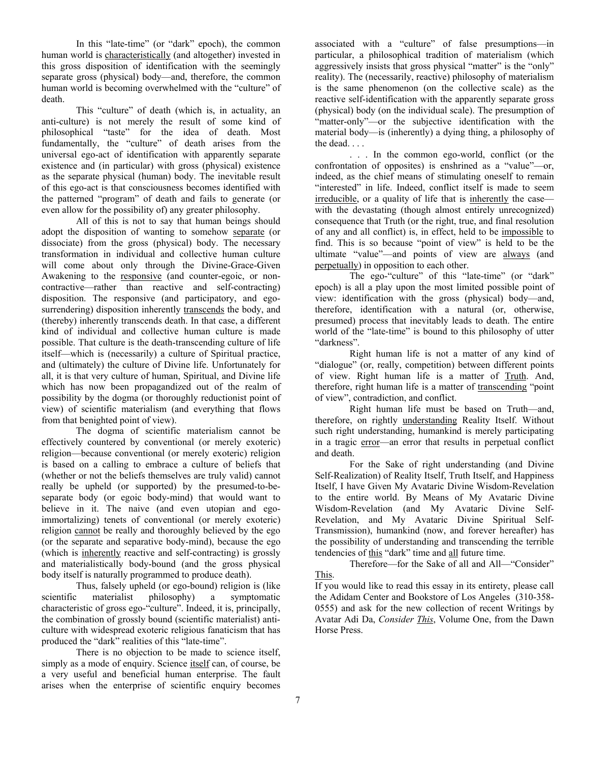In this "late-time" (or "dark" epoch), the common human world is characteristically (and altogether) invested in this gross disposition of identification with the seemingly separate gross (physical) body—and, therefore, the common human world is becoming overwhelmed with the "culture" of death.

 This "culture" of death (which is, in actuality, an anti-culture) is not merely the result of some kind of philosophical "taste" for the idea of death. Most fundamentally, the "culture" of death arises from the universal ego-act of identification with apparently separate existence and (in particular) with gross (physical) existence as the separate physical (human) body. The inevitable result of this ego-act is that consciousness becomes identified with the patterned "program" of death and fails to generate (or even allow for the possibility of) any greater philosophy.

 All of this is not to say that human beings should adopt the disposition of wanting to somehow separate (or dissociate) from the gross (physical) body. The necessary transformation in individual and collective human culture will come about only through the Divine-Grace-Given Awakening to the responsive (and counter-egoic, or noncontractive—rather than reactive and self-contracting) disposition. The responsive (and participatory, and egosurrendering) disposition inherently transcends the body, and (thereby) inherently transcends death. In that case, a different kind of individual and collective human culture is made possible. That culture is the death-transcending culture of life itself—which is (necessarily) a culture of Spiritual practice, and (ultimately) the culture of Divine life. Unfortunately for all, it is that very culture of human, Spiritual, and Divine life which has now been propagandized out of the realm of possibility by the dogma (or thoroughly reductionist point of view) of scientific materialism (and everything that flows from that benighted point of view).

 The dogma of scientific materialism cannot be effectively countered by conventional (or merely exoteric) religion—because conventional (or merely exoteric) religion is based on a calling to embrace a culture of beliefs that (whether or not the beliefs themselves are truly valid) cannot really be upheld (or supported) by the presumed-to-beseparate body (or egoic body-mind) that would want to believe in it. The naive (and even utopian and egoimmortalizing) tenets of conventional (or merely exoteric) religion cannot be really and thoroughly believed by the ego (or the separate and separative body-mind), because the ego (which is inherently reactive and self-contracting) is grossly and materialistically body-bound (and the gross physical body itself is naturally programmed to produce death).

 Thus, falsely upheld (or ego-bound) religion is (like scientific materialist philosophy) a symptomatic characteristic of gross ego-"culture". Indeed, it is, principally, the combination of grossly bound (scientific materialist) anticulture with widespread exoteric religious fanaticism that has produced the "dark" realities of this "late-time".

 There is no objection to be made to science itself, simply as a mode of enquiry. Science itself can, of course, be a very useful and beneficial human enterprise. The fault arises when the enterprise of scientific enquiry becomes

associated with a "culture" of false presumptions—in particular, a philosophical tradition of materialism (which aggressively insists that gross physical "matter" is the "only" reality). The (necessarily, reactive) philosophy of materialism is the same phenomenon (on the collective scale) as the reactive self-identification with the apparently separate gross (physical) body (on the individual scale). The presumption of "matter-only"—or the subjective identification with the material body—is (inherently) a dying thing, a philosophy of the dead. . . .

 . . . In the common ego-world, conflict (or the confrontation of opposites) is enshrined as a "value"—or, indeed, as the chief means of stimulating oneself to remain "interested" in life. Indeed, conflict itself is made to seem irreducible, or a quality of life that is inherently the case with the devastating (though almost entirely unrecognized) consequence that Truth (or the right, true, and final resolution of any and all conflict) is, in effect, held to be impossible to find. This is so because "point of view" is held to be the ultimate "value"—and points of view are always (and perpetually) in opposition to each other.

The ego-"culture" of this "late-time" (or "dark" epoch) is all a play upon the most limited possible point of view: identification with the gross (physical) body—and, therefore, identification with a natural (or, otherwise, presumed) process that inevitably leads to death. The entire world of the "late-time" is bound to this philosophy of utter "darkness".

 Right human life is not a matter of any kind of "dialogue" (or, really, competition) between different points of view. Right human life is a matter of Truth. And, therefore, right human life is a matter of transcending "point" of view", contradiction, and conflict.

 Right human life must be based on Truth—and, therefore, on rightly understanding Reality Itself. Without such right understanding, humankind is merely participating in a tragic error—an error that results in perpetual conflict and death.

 For the Sake of right understanding (and Divine Self-Realization) of Reality Itself, Truth Itself, and Happiness Itself, I have Given My Avataric Divine Wisdom-Revelation to the entire world. By Means of My Avataric Divine Wisdom-Revelation (and My Avataric Divine Self-Revelation, and My Avataric Divine Spiritual Self-Transmission), humankind (now, and forever hereafter) has the possibility of understanding and transcending the terrible tendencies of this "dark" time and all future time.

 Therefore—for the Sake of all and All—"Consider" This.

If you would like to read this essay in its entirety, please call the Adidam Center and Bookstore of Los Angeles (310-358- 0555) and ask for the new collection of recent Writings by Avatar Adi Da, *Consider This*, Volume One, from the Dawn Horse Press.